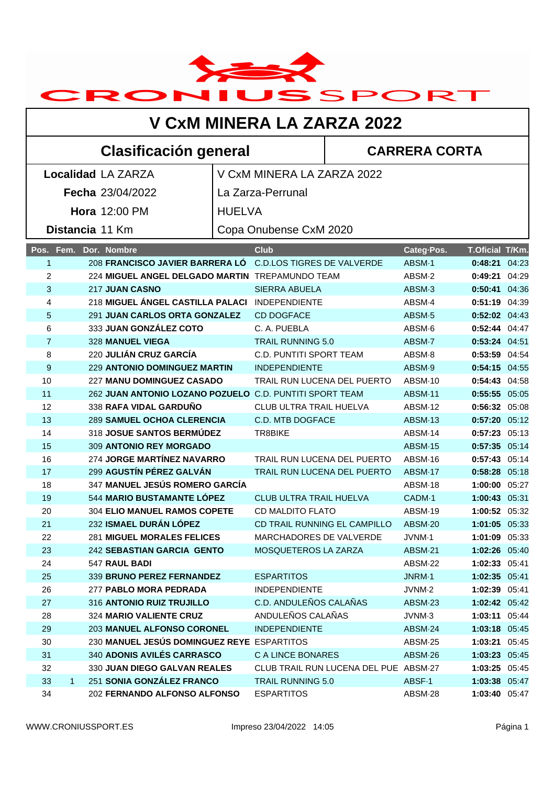

## **Clasificación general CARRERA CORTA**

| <b>Localidad LA ZARZA</b> |                                                                          |                        | V CxM MINERA LA ZARZA 2022                                        |                    |                                |  |  |
|---------------------------|--------------------------------------------------------------------------|------------------------|-------------------------------------------------------------------|--------------------|--------------------------------|--|--|
| <b>Fecha 23/04/2022</b>   |                                                                          | La Zarza-Perrunal      |                                                                   |                    |                                |  |  |
|                           |                                                                          | <b>HUELVA</b>          |                                                                   |                    |                                |  |  |
| <b>Hora</b> 12:00 PM      |                                                                          |                        |                                                                   |                    |                                |  |  |
|                           | Distancia 11 Km                                                          | Copa Onubense CxM 2020 |                                                                   |                    |                                |  |  |
| Pos. Fem.                 | Dor. Nombre                                                              |                        | <b>Club</b>                                                       | Categ-Pos.         | T.Oficial T/Km.                |  |  |
| $\mathbf{1}$              | 208 FRANCISCO JAVIER BARRERA LO                                          |                        | <b>C.D.LOS TIGRES DE VALVERDE</b>                                 | ABSM-1             | 0:48:21 04:23                  |  |  |
| $\overline{2}$            | 224 MIGUEL ANGEL DELGADO MARTIN TREPAMUNDO TEAM                          |                        |                                                                   | ABSM-2             | 0:49:21 04:29                  |  |  |
| 3                         | 217 JUAN CASNO                                                           |                        | <b>SIERRA ABUELA</b>                                              | ABSM <sub>3</sub>  | 0:50:41 04:36                  |  |  |
| 4                         | 218 MIGUEL ÁNGEL CASTILLA PALACI INDEPENDIENTE                           |                        |                                                                   | ABSM-4             | 0:51:19 04:39                  |  |  |
| 5                         | 291 JUAN CARLOS ORTA GONZALEZ                                            |                        | <b>CD DOGFACE</b>                                                 | ABSM <sub>·5</sub> | 0:52:02 04:43                  |  |  |
| 6                         | 333 JUAN GONZÁLEZ COTO                                                   |                        | C. A. PUEBLA                                                      | ABSM <sub>0</sub>  | 0:52:44 04:47                  |  |  |
| $\overline{7}$            | 328 MANUEL VIEGA                                                         |                        | <b>TRAIL RUNNING 5.0</b>                                          | ABSM-7             | 0:53:24 04:51                  |  |  |
| 8                         | 220 JULIÁN CRUZ GARCÍA                                                   |                        | <b>C.D. PUNTITI SPORT TEAM</b>                                    | ABSM-8             | 0:53:59 04:54                  |  |  |
| 9                         | <b>229 ANTONIO DOMINGUEZ MARTIN</b>                                      |                        | <b>INDEPENDIENTE</b>                                              | ABSM <sub>·9</sub> | 0:54:15 04:55                  |  |  |
| 10                        | <b>227 MANU DOMINGUEZ CASADO</b>                                         |                        | TRAIL RUN LUCENA DEL PUERTO                                       | ABSM-10            | $0:54:43$ 04:58                |  |  |
| 11                        | 262 JUAN ANTONIO LOZANO POZUELO C.D. PUNTITI SPORT TEAM                  |                        |                                                                   | ABSM-11            | 0:55:55 05:05                  |  |  |
| 12                        | 338 RAFA VIDAL GARDUÑO                                                   |                        | <b>CLUB ULTRA TRAIL HUELVA</b>                                    | ABSM-12            | 0:56:32 05:08                  |  |  |
| 13                        | <b>289 SAMUEL OCHOA CLERENCIA</b>                                        |                        | C.D. MTB DOGFACE                                                  | ABSM-13            | 0:57:20 05:12                  |  |  |
| 14                        | 318 JOSUE SANTOS BERMÚDEZ                                                |                        | TR8BIKE                                                           | ABSM-14            | 0:57:23 05:13                  |  |  |
| 15                        | 309 ANTONIO REY MORGADO                                                  |                        |                                                                   | <b>ABSM-15</b>     | 0:57:35 05:14                  |  |  |
| 16                        | 274 JORGE MARTÍNEZ NAVARRO                                               |                        | TRAIL RUN LUCENA DEL PUERTO                                       | ABSM-16            | 0:57:43 05:14                  |  |  |
| 17                        | 299 AGUSTÍN PÉREZ GALVÁN                                                 |                        | TRAIL RUN LUCENA DEL PUERTO                                       | ABSM-17            | 0:58:28 05:18                  |  |  |
| 18                        | 347 MANUEL JESÚS ROMERO GARCÍA                                           |                        |                                                                   | ABSM-18            | 1:00:00 05:27                  |  |  |
| 19                        | 544 MARIO BUSTAMANTE LÓPEZ                                               |                        | CLUB ULTRA TRAIL HUELVA                                           | CADM-1             | 1:00:43 05:31                  |  |  |
| 20                        | <b>304 ELIO MANUEL RAMOS COPETE</b>                                      |                        | <b>CD MALDITO FLATO</b>                                           | ABSM-19            | 1:00:52 05:32                  |  |  |
| 21                        | 232 ISMAEL DURÁN LÓPEZ                                                   |                        | CD TRAIL RUNNING EL CAMPILLO                                      | ABSM-20            | 1:01:05 05:33                  |  |  |
| 22                        | <b>281 MIGUEL MORALES FELICES</b>                                        |                        | MARCHADORES DE VALVERDE                                           | JVNM-1             | 1:01:09 05:33                  |  |  |
| 23                        | 242 SEBASTIAN GARCIA GENTO                                               |                        | MOSQUETEROS LA ZARZA                                              | ABSM-21            | 1:02:26 05:40                  |  |  |
| 24                        | 547 RAUL BADI                                                            |                        |                                                                   | ABSM-22            | 1:02:33 05:41                  |  |  |
| 25                        | 339 BRUNO PEREZ FERNANDEZ                                                |                        | ESPARTITOS                                                        | JNRM-1             | 1:02:35 05:41                  |  |  |
| 26                        | 277 PABLO MORA PEDRADA                                                   |                        | <b>INDEPENDIENTE</b>                                              | JVNM-2             | 1:02:39 05:41                  |  |  |
| 27                        | 316 ANTONIO RUIZ TRUJILLO                                                |                        | C.D. ANDULEÑOS CALAÑAS                                            | ABSM-23            | 1:02:42 05:42                  |  |  |
| 28                        | 324 MARIO VALIENTE CRUZ                                                  |                        | ANDULEÑOS CALAÑAS                                                 | JVNM-3             | 1:03:11 05:44                  |  |  |
| 29                        | 203 MANUEL ALFONSO CORONEL                                               |                        | <b>INDEPENDIENTE</b>                                              | ABSM-24            | 1:03:18 05:45                  |  |  |
| 30                        | 230 MANUEL JESÚS DOMINGUEZ REYE ESPARTITOS<br>340 ADONIS AVILÉS CARRASCO |                        |                                                                   | ABSM-25            | 1:03:21 05:45                  |  |  |
| 31                        | 330 JUAN DIEGO GALVAN REALES                                             |                        | C A LINCE BONARES                                                 | ABSM-26            | 1:03:23 05:45                  |  |  |
| 32                        | 251 SONIA GONZÁLEZ FRANCO                                                |                        | CLUB TRAIL RUN LUCENA DEL PUE ABSM-27<br><b>TRAIL RUNNING 5.0</b> |                    | 1:03:25 05:45                  |  |  |
| 33<br>34                  | 1<br>202 FERNANDO ALFONSO ALFONSO                                        |                        | <b>ESPARTITOS</b>                                                 | ABSF-1             | 1:03:38 05:47<br>1:03:40 05:47 |  |  |
|                           |                                                                          |                        |                                                                   | ABSM-28            |                                |  |  |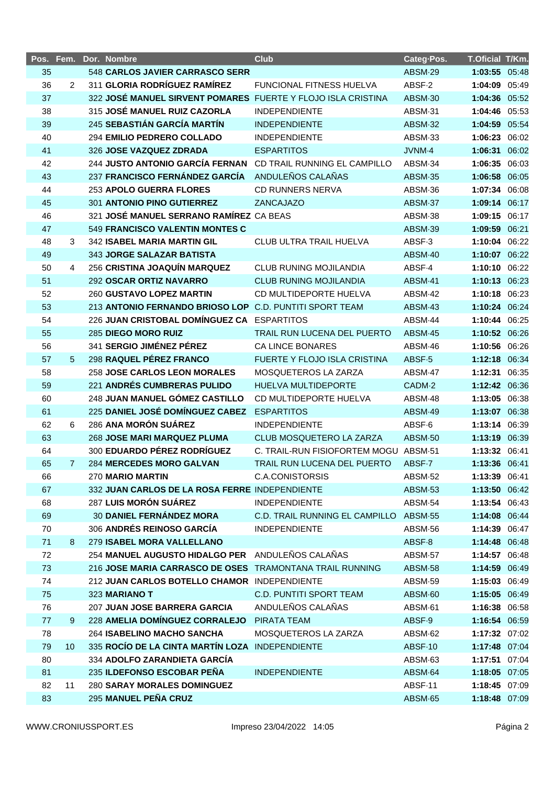| Pos. Fem. |             | Dor. Nombre                                                  | <b>Club</b>                            | Categ-Pos. | T.Oficial T/Km. |  |
|-----------|-------------|--------------------------------------------------------------|----------------------------------------|------------|-----------------|--|
| 35        |             | 548 CARLOS JAVIER CARRASCO SERR                              |                                        | ABSM-29    | 1:03:55 05:48   |  |
| 36        | 2           | 311 GLORIA RODRÍGUEZ RAMÍREZ                                 | FUNCIONAL FITNESS HUELVA               | ABSF-2     | 1:04:09 05:49   |  |
| 37        |             | 322 JOSÉ MANUEL SIRVENT POMARES FUERTE Y FLOJO ISLA CRISTINA |                                        | ABSM-30    | 1:04:36 05:52   |  |
| 38        |             | 315 JOSÉ MANUEL RUIZ CAZORLA                                 | <b>INDEPENDIENTE</b>                   | ABSM-31    | 1:04:46 05:53   |  |
| 39        |             | 245 SEBASTIÁN GARCÍA MARTÍN                                  | <b>INDEPENDIENTE</b>                   | ABSM-32    | 1:04:59 05:54   |  |
| 40        |             | 294 EMILIO PEDRERO COLLADO                                   | <b>INDEPENDIENTE</b>                   | ABSM-33    | 1:06:23 06:02   |  |
| 41        |             | 326 JOSE VAZQUEZ ZDRADA                                      | <b>ESPARTITOS</b>                      | JVNM-4     | 1:06:31 06:02   |  |
| 42        |             | <b>244 JUSTO ANTONIO GARCÍA FERNAN</b>                       | CD TRAIL RUNNING EL CAMPILLO           | ABSM-34    | 1:06:35 06:03   |  |
| 43        |             | 237 FRANCISCO FERNÁNDEZ GARCÍA                               | ANDULEÑOS CALAÑAS                      | ABSM-35    | 1:06:58 06:05   |  |
| 44        |             | 253 APOLO GUERRA FLORES                                      | CD RUNNERS NERVA                       | ABSM-36    | 1:07:34 06:08   |  |
| 45        |             | 301 ANTONIO PINO GUTIERREZ                                   | ZANCAJAZO                              | ABSM-37    | 1:09:14 06:17   |  |
| 46        |             | 321 JOSÉ MANUEL SERRANO RAMÍREZ CA BEAS                      |                                        | ABSM-38    | 1:09:15 06:17   |  |
| 47        |             | 549 FRANCISCO VALENTIN MONTES C                              |                                        | ABSM-39    | 1:09:59 06:21   |  |
| 48        | 3           | 342 ISABEL MARIA MARTIN GIL                                  | CLUB ULTRA TRAIL HUELVA                | ABSF-3     | 1:10:04 06:22   |  |
| 49        |             | 343 JORGE SALAZAR BATISTA                                    |                                        | ABSM-40    | 1:10:07 06:22   |  |
| 50        | 4           | 256 CRISTINA JOAQUÍN MARQUEZ                                 | <b>CLUB RUNING MOJILANDIA</b>          | ABSF-4     | 1:10:10 06:22   |  |
| 51        |             | 292 OSCAR ORTIZ NAVARRO                                      | <b>CLUB RUNING MOJILANDIA</b>          | ABSM-41    | 1:10:13 06:23   |  |
| 52        |             | <b>260 GUSTAVO LOPEZ MARTIN</b>                              | CD MULTIDEPORTE HUELVA                 | ABSM-42    | 1:10:18 06:23   |  |
| 53        |             | 213 ANTONIO FERNANDO BRIOSO LOP C.D. PUNTITI SPORT TEAM      |                                        | ABSM-43    | 1:10:24 06:24   |  |
| 54        |             | 226 JUAN CRISTOBAL DOMÍNGUEZ CA ESPARTITOS                   |                                        | ABSM-44    | 1:10:44 06:25   |  |
| 55        |             | 285 DIEGO MORO RUIZ                                          | TRAIL RUN LUCENA DEL PUERTO            | ABSM-45    | 1:10:52 06:26   |  |
| 56        |             | 341 SERGIO JIMÉNEZ PÉREZ                                     | CA LINCE BONARES                       | ABSM-46    | 1:10:56 06:26   |  |
| 57        | 5           | 298 RAQUEL PÉREZ FRANCO                                      | FUERTE Y FLOJO ISLA CRISTINA           | ABSF-5     | 1:12:18 06:34   |  |
| 58        |             | <b>258 JOSE CARLOS LEON MORALES</b>                          | MOSQUETEROS LA ZARZA                   | ABSM-47    | 1:12:31 06:35   |  |
| 59        |             | 221 ANDRÉS CUMBRERAS PULIDO                                  | HUELVA MULTIDEPORTE                    | CADM-2     | 1:12:42 06:36   |  |
| 60        |             | 248 JUAN MANUEL GÓMEZ CASTILLO                               | CD MULTIDEPORTE HUELVA                 | ABSM-48    | 1:13:05 06:38   |  |
| 61        |             | 225 DANIEL JOSÉ DOMÍNGUEZ CABEZ                              | <b>ESPARTITOS</b>                      | ABSM-49    | 1:13:07 06:38   |  |
| 62        | 6           | 286 ANA MORÓN SUÁREZ                                         | <b>INDEPENDIENTE</b>                   | ABSF-6     | 1:13:14 06:39   |  |
| 63        |             | 268 JOSE MARI MARQUEZ PLUMA                                  | CLUB MOSQUETERO LA ZARZA               | ABSM-50    | 1:13:19 06:39   |  |
| 64        |             | 300 EDUARDO PÉREZ RODRÍGUEZ                                  | C. TRAIL-RUN FISIOFORTEM MOGU ABSM-51  |            | 1:13:32 06:41   |  |
| 65        | $7^{\circ}$ | <b>284 MERCEDES MORO GALVAN</b>                              | TRAIL RUN LUCENA DEL PUERTO            | ABSF-7     | 1:13:36 06:41   |  |
| 66        |             | 270 MARIO MARTIN                                             | <b>C.A.CONISTORSIS</b>                 | ABSM-52    | 1:13:39 06:41   |  |
| 67        |             | 332 JUAN CARLOS DE LA ROSA FERRE INDEPENDIENTE               |                                        | ABSM-53    | 1:13:50 06:42   |  |
| 68        |             | 287 LUIS MORÓN SUÁREZ                                        | <b>INDEPENDIENTE</b>                   | ABSM-54    | 1:13:54 06:43   |  |
| 69        |             | <b>30 DANIEL FERNÁNDEZ MORA</b>                              | C.D. TRAIL RUNNING EL CAMPILLO ABSM-55 |            | 1:14:08 06:44   |  |
| 70        |             | 306 ANDRÉS REINOSO GARCÍA                                    | <b>INDEPENDIENTE</b>                   | ABSM-56    | 1:14:39 06:47   |  |
| 71        | 8           | 279 ISABEL MORA VALLELLANO                                   |                                        | ABSF-8     | 1:14:48 06:48   |  |
| 72        |             | 254 MANUEL AUGUSTO HIDALGO PER ANDULEÑOS CALAÑAS             |                                        | ABSM-57    | 1:14:57 06:48   |  |
| 73        |             | 216 JOSE MARIA CARRASCO DE OSES TRAMONTANA TRAIL RUNNING     |                                        | ABSM-58    | 1:14:59 06:49   |  |
| 74        |             | 212 JUAN CARLOS BOTELLO CHAMOR INDEPENDIENTE                 |                                        | ABSM-59    | 1:15:03 06:49   |  |
| 75        |             | 323 MARIANO T                                                | <b>C.D. PUNTITI SPORT TEAM</b>         | ABSM-60    | 1:15:05 06:49   |  |
| 76        |             | 207 JUAN JOSE BARRERA GARCIA                                 | ANDULEÑOS CALAÑAS                      | ABSM-61    | 1:16:38 06:58   |  |
| 77        | 9           | 228 AMELIA DOMÍNGUEZ CORRALEJO                               | PIRATA TEAM                            | ABSF-9     | 1:16:54 06:59   |  |
| 78        |             | 264 ISABELINO MACHO SANCHA                                   | MOSQUETEROS LA ZARZA                   | ABSM-62    | 1:17:32 07:02   |  |
| 79        | 10          | 335 ROCÍO DE LA CINTA MARTÍN LOZA INDEPENDIENTE              |                                        | ABSF-10    | 1:17:48 07:04   |  |
| 80        |             | 334 ADOLFO ZARANDIETA GARCÍA                                 |                                        | ABSM-63    | 1:17:51 07:04   |  |
| 81        |             | 235 ILDEFONSO ESCOBAR PEÑA                                   | <b>INDEPENDIENTE</b>                   | ABSM-64    | 1:18:05 07:05   |  |
| 82        | 11          | <b>280 SARAY MORALES DOMINGUEZ</b>                           |                                        | ABSF-11    | 1:18:45 07:09   |  |
| 83        |             | 295 MANUEL PEÑA CRUZ                                         |                                        | ABSM-65    | 1:18:48 07:09   |  |